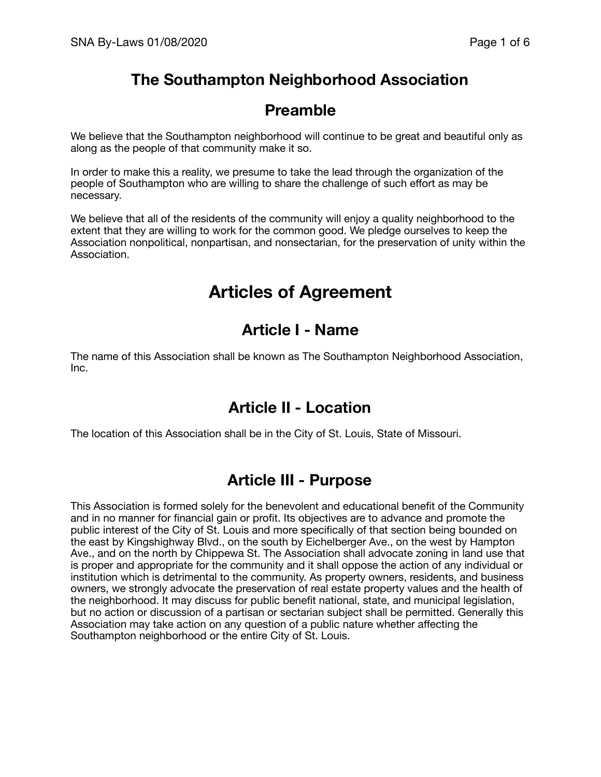# **The Southampton Neighborhood Association**

# **Preamble**

We believe that the Southampton neighborhood will continue to be great and beautiful only as along as the people of that community make it so.

In order to make this a reality, we presume to take the lead through the organization of the people of Southampton who are willing to share the challenge of such effort as may be necessary.

We believe that all of the residents of the community will enjoy a quality neighborhood to the extent that they are willing to work for the common good. We pledge ourselves to keep the Association nonpolitical, nonpartisan, and nonsectarian, for the preservation of unity within the Association.

# **Articles of Agreement**

# **Article I - Name**

The name of this Association shall be known as The Southampton Neighborhood Association, Inc.

# **Article II - Location**

The location of this Association shall be in the City of St. Louis, State of Missouri.

# **Article III - Purpose**

This Association is formed solely for the benevolent and educational benefit of the Community and in no manner for financial gain or profit. Its objectives are to advance and promote the public interest of the City of St. Louis and more specifically of that section being bounded on the east by Kingshighway Blvd., on the south by Eichelberger Ave., on the west by Hampton Ave., and on the north by Chippewa St. The Association shall advocate zoning in land use that is proper and appropriate for the community and it shall oppose the action of any individual or institution which is detrimental to the community. As property owners, residents, and business owners, we strongly advocate the preservation of real estate property values and the health of the neighborhood. It may discuss for public benefit national, state, and municipal legislation, but no action or discussion of a partisan or sectarian subject shall be permitted. Generally this Association may take action on any question of a public nature whether affecting the Southampton neighborhood or the entire City of St. Louis.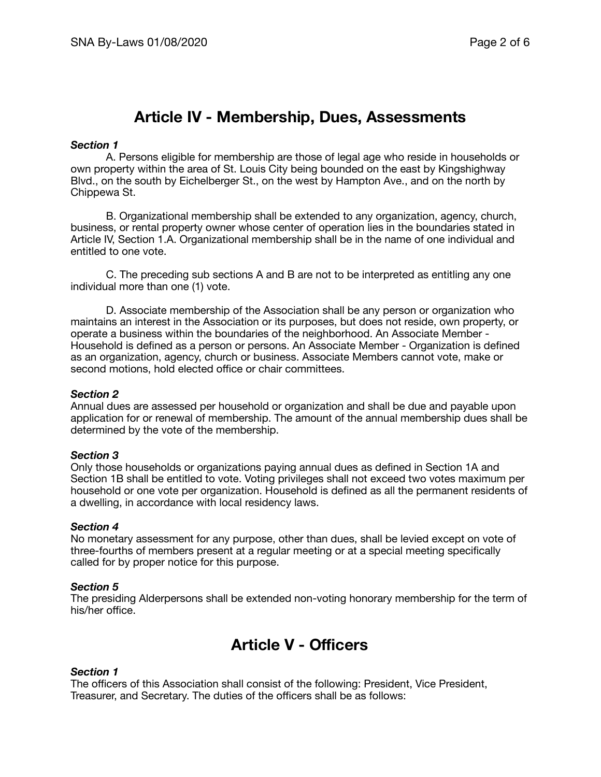# **Article IV - Membership, Dues, Assessments**

### *Section 1*

A. Persons eligible for membership are those of legal age who reside in households or own property within the area of St. Louis City being bounded on the east by Kingshighway Blvd., on the south by Eichelberger St., on the west by Hampton Ave., and on the north by Chippewa St.

B. Organizational membership shall be extended to any organization, agency, church, business, or rental property owner whose center of operation lies in the boundaries stated in Article IV, Section 1.A. Organizational membership shall be in the name of one individual and entitled to one vote.

C. The preceding sub sections A and B are not to be interpreted as entitling any one individual more than one (1) vote.

D. Associate membership of the Association shall be any person or organization who maintains an interest in the Association or its purposes, but does not reside, own property, or operate a business within the boundaries of the neighborhood. An Associate Member - Household is defined as a person or persons. An Associate Member - Organization is defined as an organization, agency, church or business. Associate Members cannot vote, make or second motions, hold elected office or chair committees.

#### *Section 2*

Annual dues are assessed per household or organization and shall be due and payable upon application for or renewal of membership. The amount of the annual membership dues shall be determined by the vote of the membership.

#### *Section 3*

Only those households or organizations paying annual dues as defined in Section 1A and Section 1B shall be entitled to vote. Voting privileges shall not exceed two votes maximum per household or one vote per organization. Household is defined as all the permanent residents of a dwelling, in accordance with local residency laws.

#### *Section 4*

No monetary assessment for any purpose, other than dues, shall be levied except on vote of three-fourths of members present at a regular meeting or at a special meeting specifically called for by proper notice for this purpose.

#### *Section 5*

The presiding Alderpersons shall be extended non-voting honorary membership for the term of his/her office.

# **Article V - Officers**

### *Section 1*

The officers of this Association shall consist of the following: President, Vice President, Treasurer, and Secretary. The duties of the officers shall be as follows: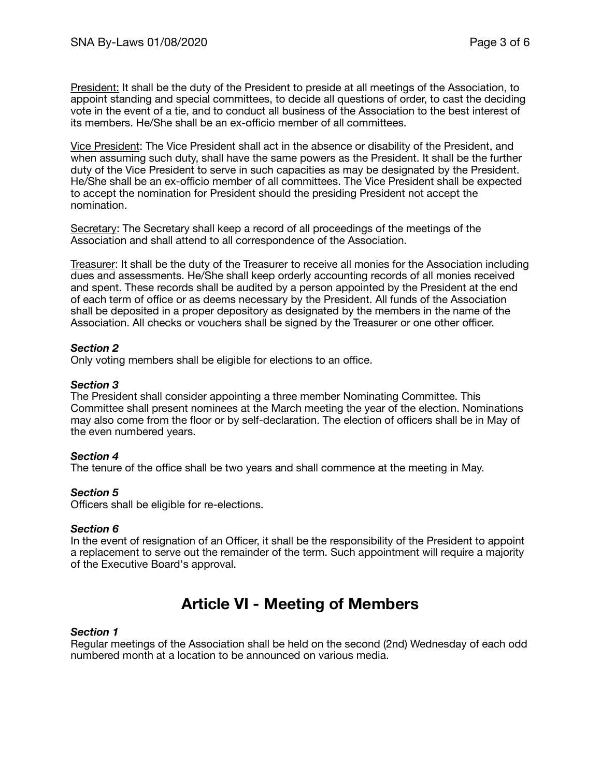President: It shall be the duty of the President to preside at all meetings of the Association, to appoint standing and special committees, to decide all questions of order, to cast the deciding vote in the event of a tie, and to conduct all business of the Association to the best interest of its members. He/She shall be an ex-officio member of all committees.

Vice President: The Vice President shall act in the absence or disability of the President, and when assuming such duty, shall have the same powers as the President. It shall be the further duty of the Vice President to serve in such capacities as may be designated by the President. He/She shall be an ex-officio member of all committees. The Vice President shall be expected to accept the nomination for President should the presiding President not accept the nomination.

Secretary: The Secretary shall keep a record of all proceedings of the meetings of the Association and shall attend to all correspondence of the Association.

Treasurer: It shall be the duty of the Treasurer to receive all monies for the Association including dues and assessments. He/She shall keep orderly accounting records of all monies received and spent. These records shall be audited by a person appointed by the President at the end of each term of office or as deems necessary by the President. All funds of the Association shall be deposited in a proper depository as designated by the members in the name of the Association. All checks or vouchers shall be signed by the Treasurer or one other officer.

# *Section 2*

Only voting members shall be eligible for elections to an office.

## *Section 3*

The President shall consider appointing a three member Nominating Committee. This Committee shall present nominees at the March meeting the year of the election. Nominations may also come from the floor or by self-declaration. The election of officers shall be in May of the even numbered years.

### *Section 4*

The tenure of the office shall be two years and shall commence at the meeting in May.

### *Section 5*

Officers shall be eligible for re-elections.

### *Section 6*

In the event of resignation of an Officer, it shall be the responsibility of the President to appoint a replacement to serve out the remainder of the term. Such appointment will require a majority of the Executive Board's approval.

# **Article VI - Meeting of Members**

### *Section 1*

Regular meetings of the Association shall be held on the second (2nd) Wednesday of each odd numbered month at a location to be announced on various media.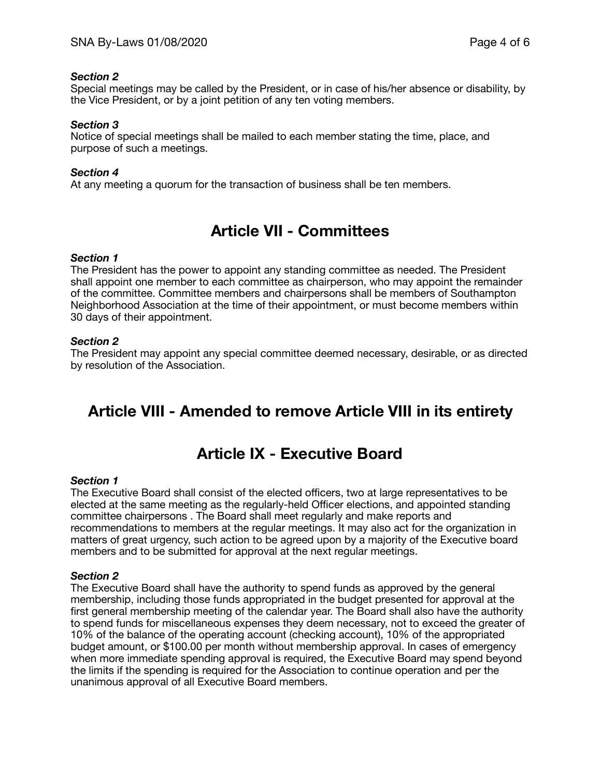# *Section 2*

Special meetings may be called by the President, or in case of his/her absence or disability, by the Vice President, or by a joint petition of any ten voting members.

# *Section 3*

Notice of special meetings shall be mailed to each member stating the time, place, and purpose of such a meetings.

## *Section 4*

At any meeting a quorum for the transaction of business shall be ten members.

# **Article VII - Committees**

### *Section 1*

The President has the power to appoint any standing committee as needed. The President shall appoint one member to each committee as chairperson, who may appoint the remainder of the committee. Committee members and chairpersons shall be members of Southampton Neighborhood Association at the time of their appointment, or must become members within 30 days of their appointment.

### *Section 2*

The President may appoint any special committee deemed necessary, desirable, or as directed by resolution of the Association.

# **Article VIII - Amended to remove Article VIII in its entirety**

# **Article IX - Executive Board**

### *Section 1*

The Executive Board shall consist of the elected officers, two at large representatives to be elected at the same meeting as the regularly-held Officer elections, and appointed standing committee chairpersons . The Board shall meet regularly and make reports and recommendations to members at the regular meetings. It may also act for the organization in matters of great urgency, such action to be agreed upon by a majority of the Executive board members and to be submitted for approval at the next regular meetings.

### *Section 2*

The Executive Board shall have the authority to spend funds as approved by the general membership, including those funds appropriated in the budget presented for approval at the first general membership meeting of the calendar year. The Board shall also have the authority to spend funds for miscellaneous expenses they deem necessary, not to exceed the greater of 10% of the balance of the operating account (checking account), 10% of the appropriated budget amount, or \$100.00 per month without membership approval. In cases of emergency when more immediate spending approval is required, the Executive Board may spend beyond the limits if the spending is required for the Association to continue operation and per the unanimous approval of all Executive Board members.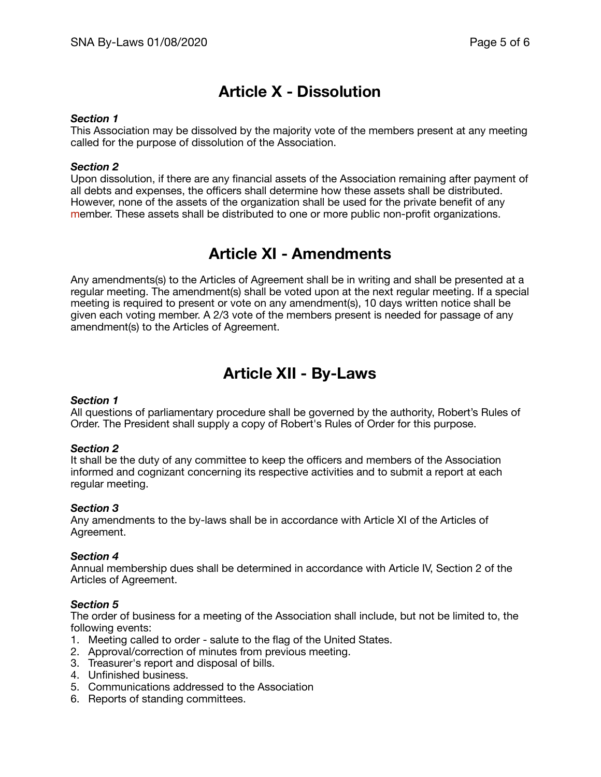# **Article X - Dissolution**

### *Section 1*

This Association may be dissolved by the majority vote of the members present at any meeting called for the purpose of dissolution of the Association.

## *Section 2*

Upon dissolution, if there are any financial assets of the Association remaining after payment of all debts and expenses, the officers shall determine how these assets shall be distributed. However, none of the assets of the organization shall be used for the private benefit of any member. These assets shall be distributed to one or more public non-profit organizations.

# **Article XI - Amendments**

Any amendments(s) to the Articles of Agreement shall be in writing and shall be presented at a regular meeting. The amendment(s) shall be voted upon at the next regular meeting. If a special meeting is required to present or vote on any amendment(s), 10 days written notice shall be given each voting member. A 2/3 vote of the members present is needed for passage of any amendment(s) to the Articles of Agreement.

# **Article XII - By-Laws**

# *Section 1*

All questions of parliamentary procedure shall be governed by the authority, Robert's Rules of Order. The President shall supply a copy of Robert's Rules of Order for this purpose.

### *Section 2*

It shall be the duty of any committee to keep the officers and members of the Association informed and cognizant concerning its respective activities and to submit a report at each regular meeting.

### *Section 3*

Any amendments to the by-laws shall be in accordance with Article XI of the Articles of Agreement.

### *Section 4*

Annual membership dues shall be determined in accordance with Article IV, Section 2 of the Articles of Agreement.

### *Section 5*

The order of business for a meeting of the Association shall include, but not be limited to, the following events:

- 1. Meeting called to order salute to the flag of the United States.
- 2. Approval/correction of minutes from previous meeting.
- 3. Treasurer's report and disposal of bills.
- 4. Unfinished business.
- 5. Communications addressed to the Association
- 6. Reports of standing committees.